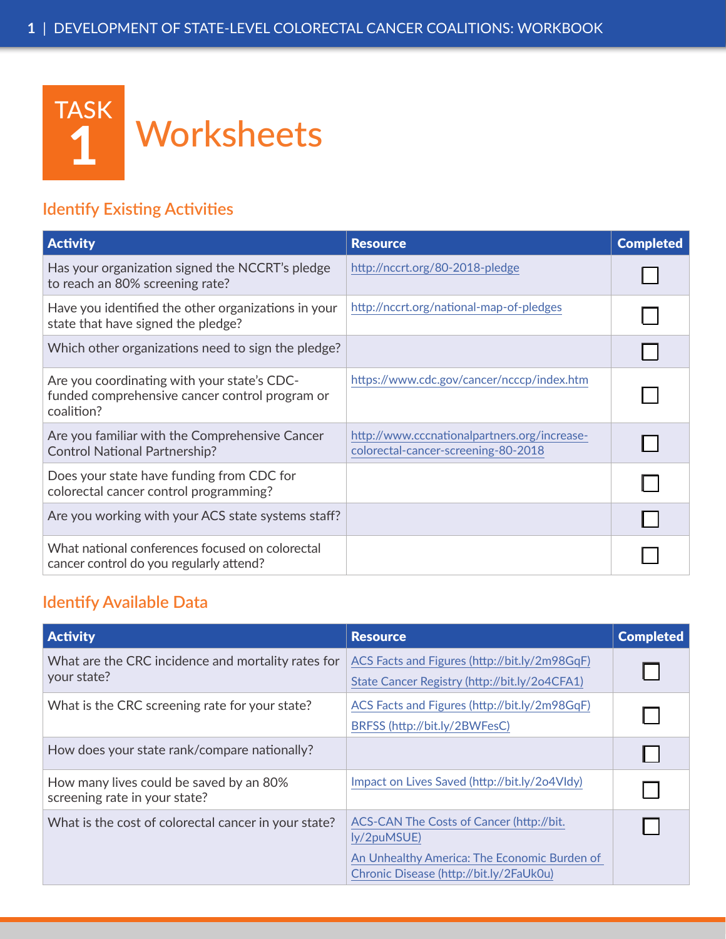

## **Identify Existing Activities**

| <b>Activity</b>                                                                                             | <b>Resource</b>                                                                     | <b>Completed</b> |
|-------------------------------------------------------------------------------------------------------------|-------------------------------------------------------------------------------------|------------------|
| Has your organization signed the NCCRT's pledge<br>to reach an 80% screening rate?                          | http://nccrt.org/80-2018-pledge                                                     |                  |
| Have you identified the other organizations in your<br>state that have signed the pledge?                   | http://nccrt.org/national-map-of-pledges                                            |                  |
| Which other organizations need to sign the pledge?                                                          |                                                                                     |                  |
| Are you coordinating with your state's CDC-<br>funded comprehensive cancer control program or<br>coalition? | https://www.cdc.gov/cancer/ncccp/index.htm                                          |                  |
| Are you familiar with the Comprehensive Cancer<br><b>Control National Partnership?</b>                      | http://www.cccnationalpartners.org/increase-<br>colorectal-cancer-screening-80-2018 |                  |
| Does your state have funding from CDC for<br>colorectal cancer control programming?                         |                                                                                     |                  |
| Are you working with your ACS state systems staff?                                                          |                                                                                     |                  |
| What national conferences focused on colorectal<br>cancer control do you regularly attend?                  |                                                                                     |                  |

## **Identify Available Data**

| <b>Activity</b>                                                          | <b>Resource</b>                                                                                                                                    | <b>Completed</b> |
|--------------------------------------------------------------------------|----------------------------------------------------------------------------------------------------------------------------------------------------|------------------|
| What are the CRC incidence and mortality rates for<br>your state?        | ACS Facts and Figures (http://bit.ly/2m98GqF)<br>State Cancer Registry (http://bit.ly/2o4CFA1)                                                     |                  |
| What is the CRC screening rate for your state?                           | ACS Facts and Figures (http://bit.ly/2m98GqF)<br>BRFSS (http://bit.ly/2BWFesC)                                                                     | L                |
| How does your state rank/compare nationally?                             |                                                                                                                                                    | L                |
| How many lives could be saved by an 80%<br>screening rate in your state? | Impact on Lives Saved (http://bit.ly/2o4Vldy)                                                                                                      |                  |
| What is the cost of colorectal cancer in your state?                     | ACS-CAN The Costs of Cancer (http://bit.<br>ly/2puMSUE)<br>An Unhealthy America: The Economic Burden of<br>Chronic Disease (http://bit.ly/2FaUk0u) | L                |